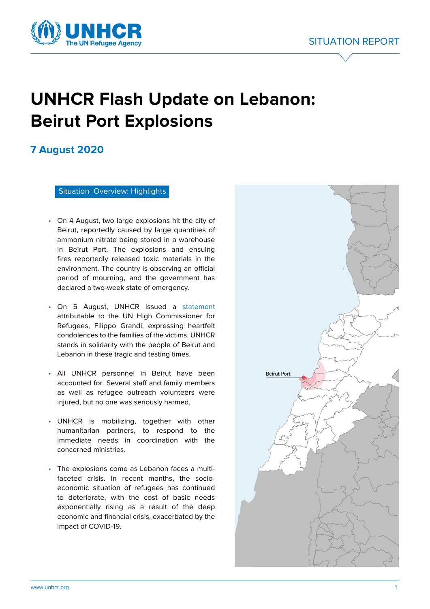



# **UNHCR Flash Update on Lebanon: Beirut Port Explosions**

# **7 August 2020**

Situation Overview: Highlights

- On 4 August, two large explosions hit the city of Beirut, reportedly caused by large quantities of ammonium nitrate being stored in a warehouse in Beirut Port. The explosions and ensuing fires reportedly released toxic materials in the environment. The country is observing an official period of mourning, and the government has declared a two-week state of emergency.
- On 5 August, UNHCR issued a [statement](https://www.unhcr.org/news/press/2020/8/5f2a77454/statement-attributable-un-high-commissioner-refugees-filippo-grandi-explosions.html) attributable to the UN High Commissioner for Refugees, Filippo Grandi, expressing heartfelt condolences to the families of the victims. UNHCR stands in solidarity with the people of Beirut and Lebanon in these tragic and testing times.
- All UNHCR personnel in Beirut have been accounted for. Several staff and family members as well as refugee outreach volunteers were injured, but no one was seriously harmed.
- UNHCR is mobilizing, together with other humanitarian partners, to respond to the immediate needs in coordination with the concerned ministries.
- The explosions come as Lebanon faces a multifaceted crisis. In recent months, the socioeconomic situation of refugees has continued to deteriorate, with the cost of basic needs exponentially rising as a result of the deep economic and financial crisis, exacerbated by the impact of COVID-19.